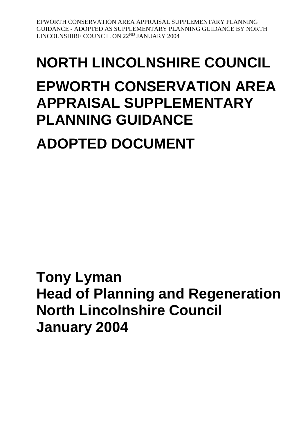# **NORTH LINCOLNSHIRE COUNCIL EPWORTH CONSERVATION AREA APPRAISAL SUPPLEMENTARY PLANNING GUIDANCE**

## **ADOPTED DOCUMENT**

**Tony Lyman Head of Planning and Regeneration North Lincolnshire Council January 2004**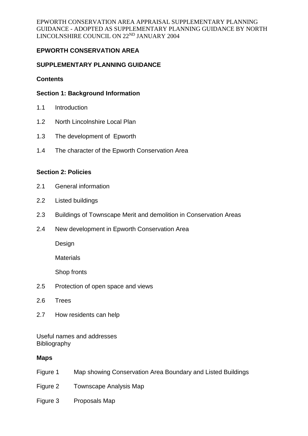## **EPWORTH CONSERVATION AREA**

#### **SUPPLEMENTARY PLANNING GUIDANCE**

#### **Contents**

#### **Section 1: Background Information**

- 1.1 Introduction
- 1.2 North Lincolnshire Local Plan
- 1.3 The development of Epworth
- 1.4 The character of the Epworth Conservation Area

#### **Section 2: Policies**

- 2.1 General information
- 2.2 Listed buildings
- 2.3 Buildings of Townscape Merit and demolition in Conservation Areas
- 2.4 New development in Epworth Conservation Area

Design

**Materials** 

Shop fronts

- 2.5 Protection of open space and views
- 2.6 Trees
- 2.7 How residents can help

Useful names and addresses **Bibliography** 

#### **Maps**

- Figure 1 Map showing Conservation Area Boundary and Listed Buildings
- Figure 2 Townscape Analysis Map
- Figure 3 Proposals Map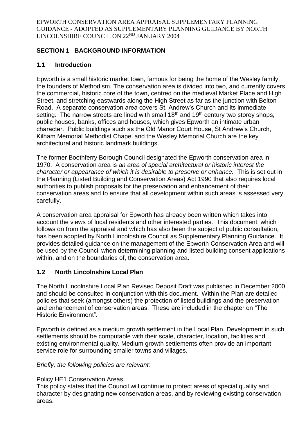## **SECTION 1 BACKGROUND INFORMATION**

## **1.1 Introduction**

Epworth is a small historic market town, famous for being the home of the Wesley family, the founders of Methodism. The conservation area is divided into two, and currently covers the commercial, historic core of the town, centred on the medieval Market Place and High Street, and stretching eastwards along the High Street as far as the junction with Belton Road. A separate conservation area covers St. Andrew's Church and its immediate setting. The narrow streets are lined with small  $18<sup>th</sup>$  and  $19<sup>th</sup>$  century two storey shops, public houses, banks, offices and houses, which gives Epworth an intimate urban character. Public buildings such as the Old Manor Court House, St Andrew's Church, Kilham Memorial Methodist Chapel and the Wesley Memorial Church are the key architectural and historic landmark buildings.

The former Boothferry Borough Council designated the Epworth conservation area in 1970. A conservation area is *an area of special architectural or historic interest the character or appearance of which it is desirable to preserve or enhance.* This is set out in the Planning (Listed Building and Conservation Areas) Act 1990 that also requires local authorities to publish proposals for the preservation and enhancement of their conservation areas and to ensure that all development within such areas is assessed very carefully.

A conservation area appraisal for Epworth has already been written which takes into account the views of local residents and other interested parties. This document, which follows on from the appraisal and which has also been the subject of public consultation, has been adopted by North Lincolnshire Council as Supplementary Planning Guidance. It provides detailed guidance on the management of the Epworth Conservation Area and will be used by the Council when determining planning and listed building consent applications within, and on the boundaries of, the conservation area.

## **1.2 North Lincolnshire Local Plan**

The North Lincolnshire Local Plan Revised Deposit Draft was published in December 2000 and should be consulted in conjunction with this document. Within the Plan are detailed policies that seek (amongst others) the protection of listed buildings and the preservation and enhancement of conservation areas. These are included in the chapter on "The Historic Environment".

Epworth is defined as a medium growth settlement in the Local Plan. Development in such settlements should be computable with their scale, character, location, facilities and existing environmental quality. Medium growth settlements often provide an important service role for surrounding smaller towns and villages.

## *Briefly, the following policies are relevant:*

## Policy HE1 Conservation Areas.

This policy states that the Council will continue to protect areas of special quality and character by designating new conservation areas, and by reviewing existing conservation areas.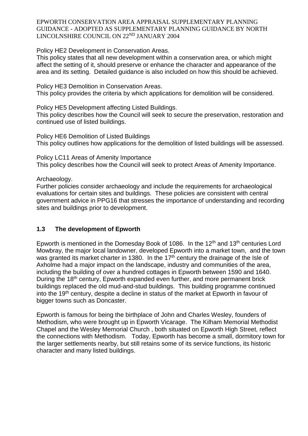Policy HE2 Development in Conservation Areas.

This policy states that all new development within a conservation area, or which might affect the setting of it, should preserve or enhance the character and appearance of the area and its setting. Detailed guidance is also included on how this should be achieved.

Policy HE3 Demolition in Conservation Areas. This policy provides the criteria by which applications for demolition will be considered.

Policy HE5 Development affecting Listed Buildings. This policy describes how the Council will seek to secure the preservation, restoration and continued use of listed buildings.

Policy HE6 Demolition of Listed Buildings This policy outlines how applications for the demolition of listed buildings will be assessed.

Policy LC11 Areas of Amenity Importance This policy describes how the Council will seek to protect Areas of Amenity Importance.

Archaeology.

Further policies consider archaeology and include the requirements for archaeological evaluations for certain sites and buildings. These policies are consistent with central government advice in PPG16 that stresses the importance of understanding and recording sites and buildings prior to development.

## **1.3 The development of Epworth**

Epworth is mentioned in the Domesday Book of 1086. In the  $12<sup>th</sup>$  and  $13<sup>th</sup>$  centuries Lord Mowbray, the major local landowner, developed Epworth into a market town, and the town was granted its market charter in 1380. In the 17<sup>th</sup> century the drainage of the Isle of Axholme had a major impact on the landscape, industry and communities of the area, including the building of over a hundred cottages in Epworth between 1590 and 1640. During the 18<sup>th</sup> century, Epworth expanded even further, and more permanent brick buildings replaced the old mud-and-stud buildings. This building programme continued into the 19th century, despite a decline in status of the market at Epworth in favour of bigger towns such as Doncaster.

Epworth is famous for being the birthplace of John and Charles Wesley, founders of Methodism, who were brought up in Epworth Vicarage. The Kilham Memorial Methodist Chapel and the Wesley Memorial Church , both situated on Epworth High Street, reflect the connections with Methodism. Today, Epworth has become a small, dormitory town for the larger settlements nearby, but still retains some of its service functions, its historic character and many listed buildings.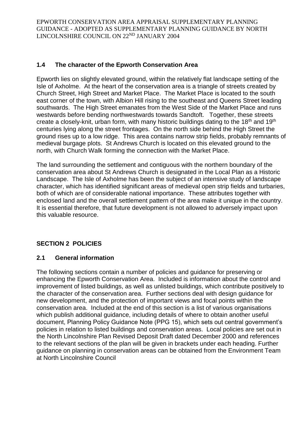## **1.4 The character of the Epworth Conservation Area**

Epworth lies on slightly elevated ground, within the relatively flat landscape setting of the Isle of Axholme. At the heart of the conservation area is a triangle of streets created by Church Street, High Street and Market Place. The Market Place is located to the south east corner of the town, with Albion Hill rising to the southeast and Queens Street leading southwards. The High Street emanates from the West Side of the Market Place and runs westwards before bending northwestwards towards Sandtoft. Together, these streets create a closely-knit, urban form, with many historic buildings dating to the 18th and 19th centuries lying along the street frontages. On the north side behind the High Street the ground rises up to a low ridge. This area contains narrow strip fields, probably remnants of medieval burgage plots. St Andrews Church is located on this elevated ground to the north, with Church Walk forming the connection with the Market Place.

The land surrounding the settlement and contiguous with the northern boundary of the conservation area about St Andrews Church is designated in the Local Plan as a Historic Landscape. The Isle of Axholme has been the subject of an intensive study of landscape character, which has identified significant areas of medieval open strip fields and turbaries, both of which are of considerable national importance. These attributes together with enclosed land and the overall settlement pattern of the area make it unique in the country. It is essential therefore, that future development is not allowed to adversely impact upon this valuable resource.

## **SECTION 2 POLICIES**

## **2.1 General information**

The following sections contain a number of policies and guidance for preserving or enhancing the Epworth Conservation Area. Included is information about the control and improvement of listed buildings, as well as unlisted buildings, which contribute positively to the character of the conservation area. Further sections deal with design guidance for new development, and the protection of important views and focal points within the conservation area. Included at the end of this section is a list of various organisations which publish additional guidance, including details of where to obtain another useful document, Planning Policy Guidance Note (PPG 15), which sets out central government's policies in relation to listed buildings and conservation areas. Local policies are set out in the North Lincolnshire Plan Revised Deposit Draft dated December 2000 and references to the relevant sections of the plan will be given in brackets under each heading. Further guidance on planning in conservation areas can be obtained from the Environment Team at North Lincolnshire Council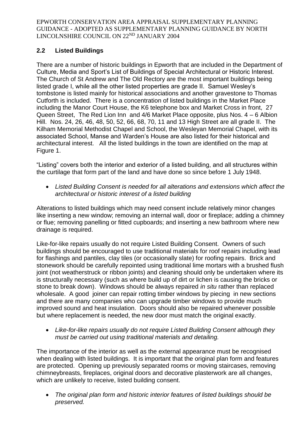## **2.2 Listed Buildings**

There are a number of historic buildings in Epworth that are included in the Department of Culture, Media and Sport's List of Buildings of Special Architectural or Historic Interest. The Church of St Andrew and The Old Rectory are the most important buildings being listed grade I, while all the other listed properties are grade II. Samuel Wesley's tombstone is listed mainly for historical associations and another gravestone to Thomas Cutforth is included. There is a concentration of listed buildings in the Market Place including the Manor Court House, the K6 telephone box and Market Cross in front, 27 Queen Street, The Red Lion Inn and 4/6 Market Place opposite, plus Nos. 4 – 6 Albion Hill. Nos. 24, 26, 46, 48, 50, 52, 66, 68, 70, 11 and 13 High Street are all grade II. The Kilham Memorial Methodist Chapel and School, the Wesleyan Memorial Chapel, with its associated School, Manse and Warden's House are also listed for their historical and architectural interest. All the listed buildings in the town are identified on the map at Figure 1.

"Listing" covers both the interior and exterior of a listed building, and all structures within the curtilage that form part of the land and have done so since before 1 July 1948.

 *Listed Building Consent is needed for all alterations and extensions which affect the architectural or historic interest of a listed building*

Alterations to listed buildings which may need consent include relatively minor changes like inserting a new window; removing an internal wall, door or fireplace; adding a chimney or flue; removing panelling or fitted cupboards; and inserting a new bathroom where new drainage is required.

Like-for-like repairs usually do not require Listed Building Consent. Owners of such buildings should be encouraged to use traditional materials for roof repairs including lead for flashings and pantiles, clay tiles (or occasionally slate) for roofing repairs. Brick and stonework should be carefully repointed using traditional lime mortars with a brushed flush joint (not weatherstruck or ribbon joints) and cleaning should only be undertaken where its is structurally necessary (such as where build up of dirt or lichen is causing the bricks or stone to break down). Windows should be always repaired *in situ* rather than replaced wholesale. A good joiner can repair rotting timber windows by piecing in new sections and there are many companies who can upgrade timber windows to provide much improved sound and heat insulation. Doors should also be repaired whenever possible but where replacement is needed, the new door must match the original exactly.

 *Like-for-like repairs usually do not require Listed Building Consent although they must be carried out using traditional materials and detailing.*

The importance of the interior as well as the external appearance must be recognised when dealing with listed buildings. It is important that the original plan form and features are protected. Opening up previously separated rooms or moving staircases, removing chimneybreasts, fireplaces, original doors and decorative plasterwork are all changes, which are unlikely to receive, listed building consent.

 *The original plan form and historic interior features of listed buildings should be preserved.*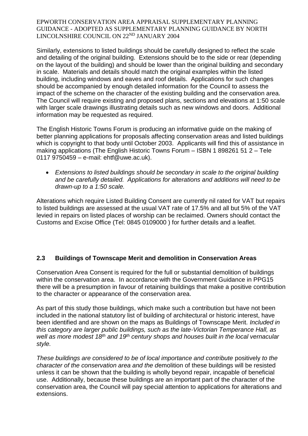Similarly, extensions to listed buildings should be carefully designed to reflect the scale and detailing of the original building. Extensions should be to the side or rear (depending on the layout of the building) and should be lower than the original building and secondary in scale. Materials and details should match the original examples within the listed building, including windows and eaves and roof details. Applications for such changes should be accompanied by enough detailed information for the Council to assess the impact of the scheme on the character of the existing building and the conservation area. The Council will require existing and proposed plans, sections and elevations at 1:50 scale with larger scale drawings illustrating details such as new windows and doors. Additional information may be requested as required.

The English Historic Towns Forum is producing an informative guide on the making of better planning applications for proposals affecting conservation areas and listed buildings which is copyright to that body until October 2003. Applicants will find this of assistance in making applications (The English Historic Towns Forum – ISBN 1 898261 51 2 – Tele 0117 9750459 – e-mail: ehtf@uwe.ac.uk).

 *Extensions to listed buildings should be secondary in scale to the original building and be carefully detailed. Applications for alterations and additions will need to be drawn-up to a 1:50 scale.*

Alterations which require Listed Building Consent are currently nil rated for VAT but repairs to listed buildings are assessed at the usual VAT rate of 17.5% and all but 5% of the VAT levied in repairs on listed places of worship can be reclaimed. Owners should contact the Customs and Excise Office (Tel: 0845 0109000 ) for further details and a leaflet.

## **2.3 Buildings of Townscape Merit and demolition in Conservation Areas**

Conservation Area Consent is required for the full or substantial demolition of buildings within the conservation area. In accordance with the Government Guidance in PPG15 there will be a presumption in favour of retaining buildings that make a positive contribution to the character or appearance of the conservation area.

As part of this study those buildings, which make such a contribution but have not been included in the national statutory list of building of architectural or historic interest, have been identified and are shown on the maps as Buildings of Townscape Merit. *Included in this category are larger public buildings, such as the late-Victorian Temperance Hall, as well as more modest 18th and 19th century shops and houses built in the local vernacular style.* 

*These buildings are considered to be of local importance and contribute* positively *to the character of the conservation area and the d*emolition of these buildings will be resisted unless it can be shown that the building is wholly beyond repair, incapable of beneficial use. Additionally, because these buildings are an important part of the character of the conservation area, the Council will pay special attention to applications for alterations and extensions.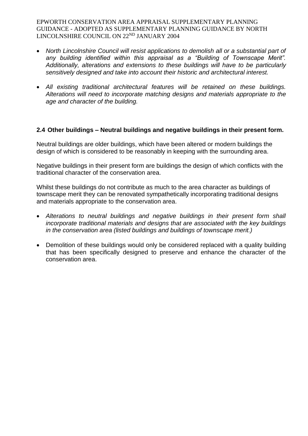- *North Lincolnshire Council will resist applications to demolish all or a substantial part of*  any building identified within this appraisal as a "Building of Townscape Merit". *Additionally, alterations and extensions to these buildings will have to be particularly sensitively designed and take into account their historic and architectural interest.*
- *All existing traditional architectural features will be retained on these buildings. Alterations will need to incorporate matching designs and materials appropriate to the age and character of the building.*

#### **2.4 Other buildings – Neutral buildings and negative buildings in their present form.**

Neutral buildings are older buildings, which have been altered or modern buildings the design of which is considered to be reasonably in keeping with the surrounding area.

Negative buildings in their present form are buildings the design of which conflicts with the traditional character of the conservation area.

Whilst these buildings do not contribute as much to the area character as buildings of townscape merit they can be renovated sympathetically incorporating traditional designs and materials appropriate to the conservation area.

- *Alterations to neutral buildings and negative buildings in their present form shall incorporate traditional materials and designs that are associated with the key buildings in the conservation area (listed buildings and buildings of townscape merit.)*
- Demolition of these buildings would only be considered replaced with a quality building that has been specifically designed to preserve and enhance the character of the conservation area.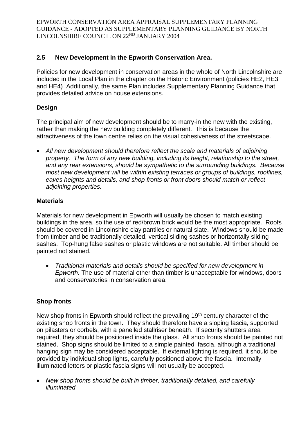## **2.5 New Development in the Epworth Conservation Area.**

Policies for new development in conservation areas in the whole of North Lincolnshire are included in the Local Plan in the chapter on the Historic Environment (policies HE2, HE3 and HE4) Additionally, the same Plan includes Supplementary Planning Guidance that provides detailed advice on house extensions.

## **Design**

The principal aim of new development should be to marry-in the new with the existing, rather than making the new building completely different. This is because the attractiveness of the town centre relies on the visual cohesiveness of the streetscape.

 *All new development should therefore reflect the scale and materials of adjoining property. The form of any new building, including its height, relationship to the street, and any rear extensions, should be sympathetic to the surrounding buildings. Because most new development will be within existing terraces or groups of buildings, rooflines, eaves heights and details, and shop fronts or front doors should match or reflect adjoining properties.* 

#### **Materials**

Materials for new development in Epworth will usually be chosen to match existing buildings in the area, so the use of red/brown brick would be the most appropriate. Roofs should be covered in Lincolnshire clay pantiles or natural slate. Windows should be made from timber and be traditionally detailed, vertical sliding sashes or horizontally sliding sashes. Top-hung false sashes or plastic windows are not suitable. All timber should be painted not stained.

 *Traditional materials and details should be specified for new development in Epworth.* The use of material other than timber is unacceptable for windows, doors and conservatories in conservation area.

## **Shop fronts**

New shop fronts in Epworth should reflect the prevailing 19<sup>th</sup> century character of the existing shop fronts in the town. They should therefore have a sloping fascia, supported on pilasters or corbels, with a panelled stallriser beneath. If security shutters area required, they should be positioned inside the glass. All shop fronts should be painted not stained. Shop signs should be limited to a simple painted fascia, although a traditional hanging sign may be considered acceptable. If external lighting is required, it should be provided by individual shop lights, carefully positioned above the fascia. Internally illuminated letters or plastic fascia signs will not usually be accepted.

 *New shop fronts should be built in timber, traditionally detailed, and carefully illuminated.*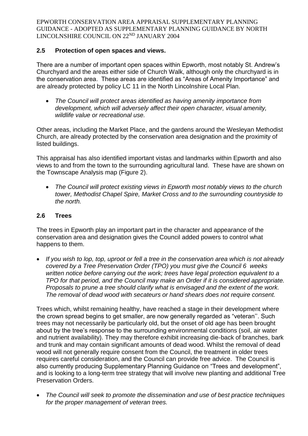## **2.5 Protection of open spaces and views.**

There are a number of important open spaces within Epworth, most notably St. Andrew's Churchyard and the areas either side of Church Walk, although only the churchyard is in the conservation area. These areas are identified as "Areas of Amenity Importance" and are already protected by policy LC 11 in the North Lincolnshire Local Plan.

 *The Council will protect areas identified as having amenity importance from development, which will adversely affect their open character, visual amenity, wildlife value or recreational use.*

Other areas, including the Market Place, and the gardens around the Wesleyan Methodist Church, are already protected by the conservation area designation and the proximity of listed buildings.

This appraisal has also identified important vistas and landmarks within Epworth and also views to and from the town to the surrounding agricultural land. These have are shown on the Townscape Analysis map (Figure 2).

 *The Council will protect existing views in Epworth most notably views to the church tower, Methodist Chapel Spire, Market Cross and to the surrounding countryside to the north.*

#### **2.6 Trees**

The trees in Epworth play an important part in the character and appearance of the conservation area and designation gives the Council added powers to control what happens to them.

 *If you wish to lop, top, uproot or fell a tree in the conservation area which is not already covered by a Tree Preservation Order (TPO) you must give the Council 6 weeks written notice before carrying out the work; trees have legal protection equivalent to a TPO for that period, and the Council may make an Order if it is considered appropriate. Proposals to prune a tree should clarify what is envisaged and the extent of the work. The removal of dead wood with secateurs or hand shears does not require consent.*

Trees which, whilst remaining healthy, have reached a stage in their development where the crown spread begins to get smaller, are now generally regarded as "veteran''. Such trees may not necessarily be particularly old, but the onset of old age has been brought about by the tree's response to the surrounding environmental conditions (soil, air water and nutrient availability). They may therefore exhibit increasing die-back of branches, bark and trunk and may contain significant amounts of dead wood. Whilst the removal of dead wood will not generally require consent from the Council, the treatment in older trees requires careful consideration, and the Council can provide free advice. The Council is also currently producing Supplementary Planning Guidance on "Trees and development", and is looking to a long-term tree strategy that will involve new planting and additional Tree Preservation Orders.

 *The Council will seek to promote the dissemination and use of best practice techniques for the proper management of veteran trees.*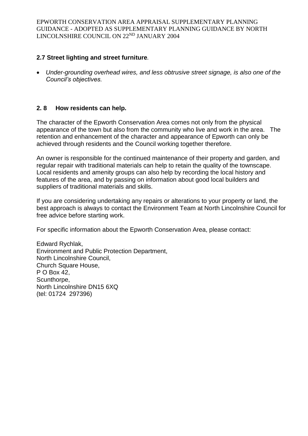#### **2.7 Street lighting and street furniture***.*

 *Under-grounding overhead wires, and less obtrusive street signage, is also one of the Council's objectives.*

#### **2. 8 How residents can help.**

The character of the Epworth Conservation Area comes not only from the physical appearance of the town but also from the community who live and work in the area. The retention and enhancement of the character and appearance of Epworth can only be achieved through residents and the Council working together therefore.

An owner is responsible for the continued maintenance of their property and garden, and regular repair with traditional materials can help to retain the quality of the townscape. Local residents and amenity groups can also help by recording the local history and features of the area, and by passing on information about good local builders and suppliers of traditional materials and skills.

If you are considering undertaking any repairs or alterations to your property or land, the best approach is always to contact the Environment Team at North Lincolnshire Council for free advice before starting work.

For specific information about the Epworth Conservation Area, please contact:

Edward Rychlak, Environment and Public Protection Department, North Lincolnshire Council, Church Square House, P O Box 42, Scunthorpe, North Lincolnshire DN15 6XQ (tel: 01724 297396)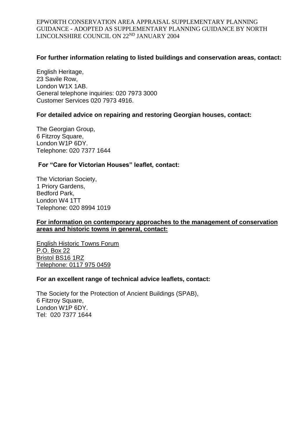#### **For further information relating to listed buildings and conservation areas, contact:**

English Heritage, 23 Savile Row, London W1X 1AB. General telephone inquiries: 020 7973 3000 Customer Services 020 7973 4916.

#### **For detailed advice on repairing and restoring Georgian houses, contact:**

The Georgian Group, 6 Fitzroy Square, London W1P 6DY. Telephone: 020 7377 1644

#### **For "Care for Victorian Houses" leaflet, contact:**

The Victorian Society, 1 Priory Gardens, Bedford Park, London W4 1TT Telephone: 020 8994 1019

#### **For information on contemporary approaches to the management of conservation areas and historic towns in general, contact:**

English Historic Towns Forum P.O. Box 22 Bristol BS16 1RZ Telephone: 0117 975 0459

#### **For an excellent range of technical advice leaflets, contact:**

The Society for the Protection of Ancient Buildings (SPAB), 6 Fitzroy Square, London W1P 6DY. Tel: 020 7377 1644